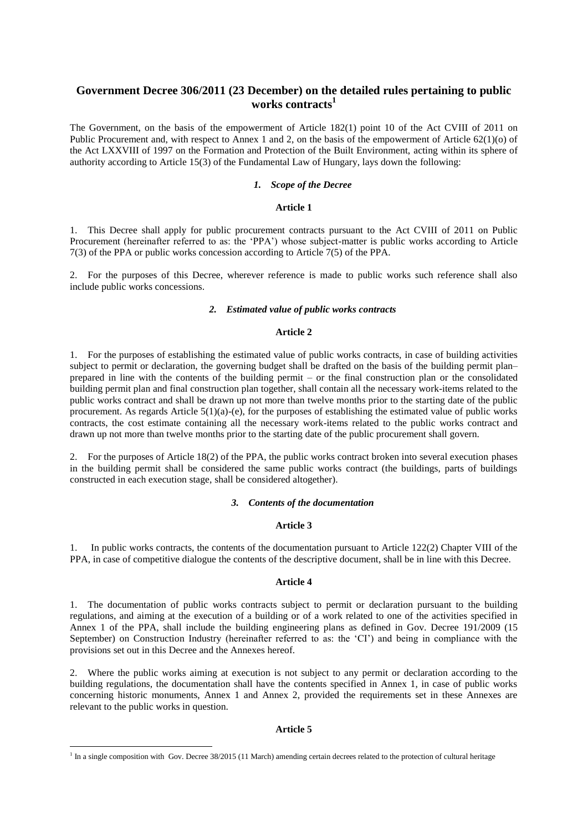# **Government Decree 306/2011 (23 December) on the detailed rules pertaining to public works contracts 1**

The Government, on the basis of the empowerment of Article 182(1) point 10 of the Act CVIII of 2011 on Public Procurement and, with respect to Annex 1 and 2, on the basis of the empowerment of Article 62(1)(o) of the Act LXXVIII of 1997 on the Formation and Protection of the Built Environment, acting within its sphere of authority according to Article 15(3) of the Fundamental Law of Hungary, lays down the following:

### *1. Scope of the Decree*

#### **Article 1**

1. This Decree shall apply for public procurement contracts pursuant to the Act CVIII of 2011 on Public Procurement (hereinafter referred to as: the 'PPA') whose subject-matter is public works according to Article 7(3) of the PPA or public works concession according to Article 7(5) of the PPA.

2. For the purposes of this Decree, wherever reference is made to public works such reference shall also include public works concessions.

#### *2. Estimated value of public works contracts*

### **Article 2**

1. For the purposes of establishing the estimated value of public works contracts, in case of building activities subject to permit or declaration, the governing budget shall be drafted on the basis of the building permit plan– prepared in line with the contents of the building permit – or the final construction plan or the consolidated building permit plan and final construction plan together, shall contain all the necessary work-items related to the public works contract and shall be drawn up not more than twelve months prior to the starting date of the public procurement. As regards Article 5(1)(a)-(e), for the purposes of establishing the estimated value of public works contracts, the cost estimate containing all the necessary work-items related to the public works contract and drawn up not more than twelve months prior to the starting date of the public procurement shall govern.

2. For the purposes of Article 18(2) of the PPA, the public works contract broken into several execution phases in the building permit shall be considered the same public works contract (the buildings, parts of buildings constructed in each execution stage, shall be considered altogether).

### *3. Contents of the documentation*

### **Article 3**

1. In public works contracts, the contents of the documentation pursuant to Article 122(2) Chapter VIII of the PPA, in case of competitive dialogue the contents of the descriptive document, shall be in line with this Decree.

### **Article 4**

1. The documentation of public works contracts subject to permit or declaration pursuant to the building regulations, and aiming at the execution of a building or of a work related to one of the activities specified in Annex 1 of the PPA, shall include the building engineering plans as defined in Gov. Decree 191/2009 (15 September) on Construction Industry (hereinafter referred to as: the 'CI') and being in compliance with the provisions set out in this Decree and the Annexes hereof.

2. Where the public works aiming at execution is not subject to any permit or declaration according to the building regulations, the documentation shall have the contents specified in Annex 1, in case of public works concerning historic monuments, Annex 1 and Annex 2, provided the requirements set in these Annexes are relevant to the public works in question.

### **Article 5**

**.** 

<sup>&</sup>lt;sup>1</sup> In a single composition with Gov. Decree 38/2015 (11 March) amending certain decrees related to the protection of cultural heritage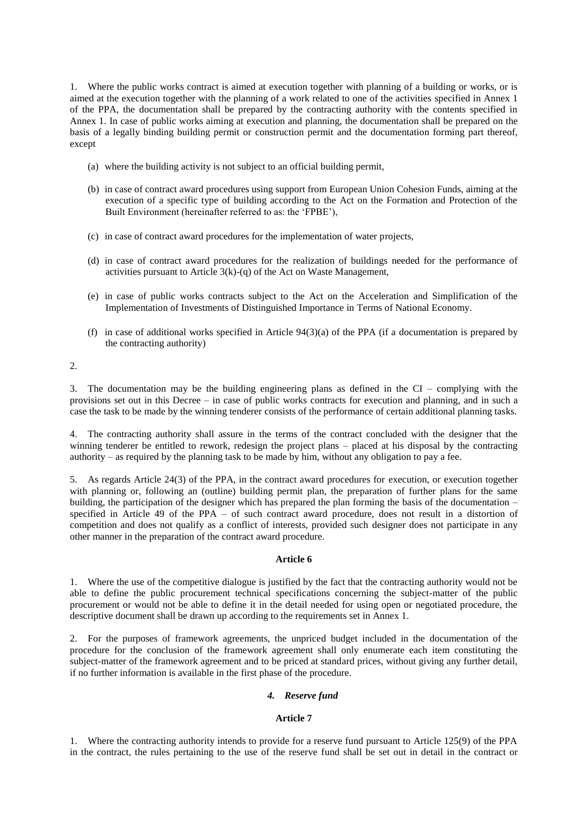1. Where the public works contract is aimed at execution together with planning of a building or works, or is aimed at the execution together with the planning of a work related to one of the activities specified in Annex 1 of the PPA, the documentation shall be prepared by the contracting authority with the contents specified in Annex 1. In case of public works aiming at execution and planning, the documentation shall be prepared on the basis of a legally binding building permit or construction permit and the documentation forming part thereof, except

- (a) where the building activity is not subject to an official building permit,
- (b) in case of contract award procedures using support from European Union Cohesion Funds, aiming at the execution of a specific type of building according to the Act on the Formation and Protection of the Built Environment (hereinafter referred to as: the 'FPBE'),
- (c) in case of contract award procedures for the implementation of water projects,
- (d) in case of contract award procedures for the realization of buildings needed for the performance of activities pursuant to Article  $3(k)-(q)$  of the Act on Waste Management,
- (e) in case of public works contracts subject to the Act on the Acceleration and Simplification of the Implementation of Investments of Distinguished Importance in Terms of National Economy.
- (f) in case of additional works specified in Article 94(3)(a) of the PPA (if a documentation is prepared by the contracting authority)

2.

3. The documentation may be the building engineering plans as defined in the CI – complying with the provisions set out in this Decree – in case of public works contracts for execution and planning, and in such a case the task to be made by the winning tenderer consists of the performance of certain additional planning tasks.

4. The contracting authority shall assure in the terms of the contract concluded with the designer that the winning tenderer be entitled to rework, redesign the project plans – placed at his disposal by the contracting authority – as required by the planning task to be made by him, without any obligation to pay a fee.

5. As regards Article 24(3) of the PPA, in the contract award procedures for execution, or execution together with planning or, following an (outline) building permit plan, the preparation of further plans for the same building, the participation of the designer which has prepared the plan forming the basis of the documentation – specified in Article 49 of the PPA – of such contract award procedure, does not result in a distortion of competition and does not qualify as a conflict of interests, provided such designer does not participate in any other manner in the preparation of the contract award procedure.

# **Article 6**

1. Where the use of the competitive dialogue is justified by the fact that the contracting authority would not be able to define the public procurement technical specifications concerning the subject-matter of the public procurement or would not be able to define it in the detail needed for using open or negotiated procedure, the descriptive document shall be drawn up according to the requirements set in Annex 1.

2. For the purposes of framework agreements, the unpriced budget included in the documentation of the procedure for the conclusion of the framework agreement shall only enumerate each item constituting the subject-matter of the framework agreement and to be priced at standard prices, without giving any further detail, if no further information is available in the first phase of the procedure.

# *4. Reserve fund*

# **Article 7**

1. Where the contracting authority intends to provide for a reserve fund pursuant to Article 125(9) of the PPA in the contract, the rules pertaining to the use of the reserve fund shall be set out in detail in the contract or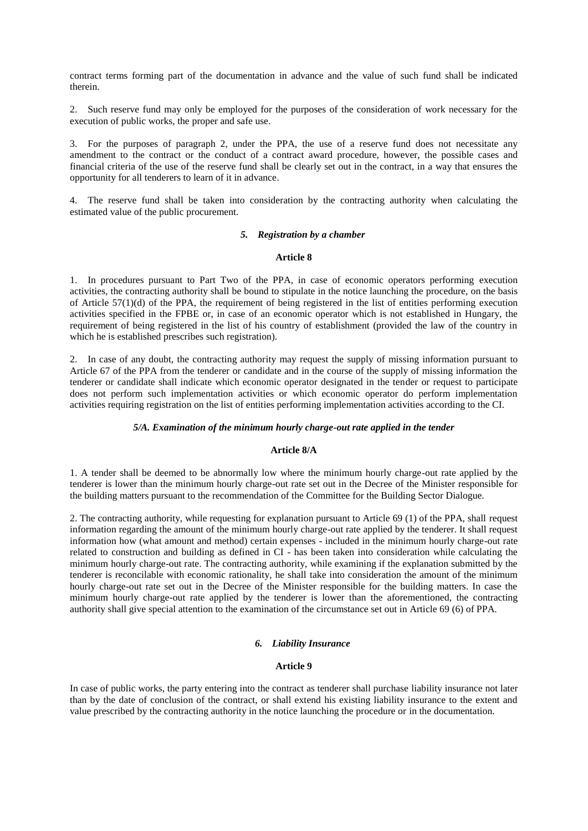contract terms forming part of the documentation in advance and the value of such fund shall be indicated therein.

2. Such reserve fund may only be employed for the purposes of the consideration of work necessary for the execution of public works, the proper and safe use.

3. For the purposes of paragraph 2, under the PPA, the use of a reserve fund does not necessitate any amendment to the contract or the conduct of a contract award procedure, however, the possible cases and financial criteria of the use of the reserve fund shall be clearly set out in the contract, in a way that ensures the opportunity for all tenderers to learn of it in advance.

4. The reserve fund shall be taken into consideration by the contracting authority when calculating the estimated value of the public procurement.

#### *5. Registration by a chamber*

#### **Article 8**

1. In procedures pursuant to Part Two of the PPA, in case of economic operators performing execution activities, the contracting authority shall be bound to stipulate in the notice launching the procedure, on the basis of Article 57(1)(d) of the PPA, the requirement of being registered in the list of entities performing execution activities specified in the FPBE or, in case of an economic operator which is not established in Hungary, the requirement of being registered in the list of his country of establishment (provided the law of the country in which he is established prescribes such registration).

2. In case of any doubt, the contracting authority may request the supply of missing information pursuant to Article 67 of the PPA from the tenderer or candidate and in the course of the supply of missing information the tenderer or candidate shall indicate which economic operator designated in the tender or request to participate does not perform such implementation activities or which economic operator do perform implementation activities requiring registration on the list of entities performing implementation activities according to the CI.

### *5/A. Examination of the minimum hourly charge-out rate applied in the tender*

# **Article 8/A**

1. A tender shall be deemed to be abnormally low where the minimum hourly charge-out rate applied by the tenderer is lower than the minimum hourly charge-out rate set out in the Decree of the Minister responsible for the building matters pursuant to the recommendation of the Committee for the Building Sector Dialogue.

2. The contracting authority, while requesting for explanation pursuant to Article 69 (1) of the PPA, shall request information regarding the amount of the minimum hourly charge-out rate applied by the tenderer. It shall request information how (what amount and method) certain expenses - included in the minimum hourly charge-out rate related to construction and building as defined in CI - has been taken into consideration while calculating the minimum hourly charge-out rate. The contracting authority, while examining if the explanation submitted by the tenderer is reconcilable with economic rationality, he shall take into consideration the amount of the minimum hourly charge-out rate set out in the Decree of the Minister responsible for the building matters. In case the minimum hourly charge-out rate applied by the tenderer is lower than the aforementioned, the contracting authority shall give special attention to the examination of the circumstance set out in Article 69 (6) of PPA.

# *6. Liability Insurance*

### **Article 9**

In case of public works, the party entering into the contract as tenderer shall purchase liability insurance not later than by the date of conclusion of the contract, or shall extend his existing liability insurance to the extent and value prescribed by the contracting authority in the notice launching the procedure or in the documentation.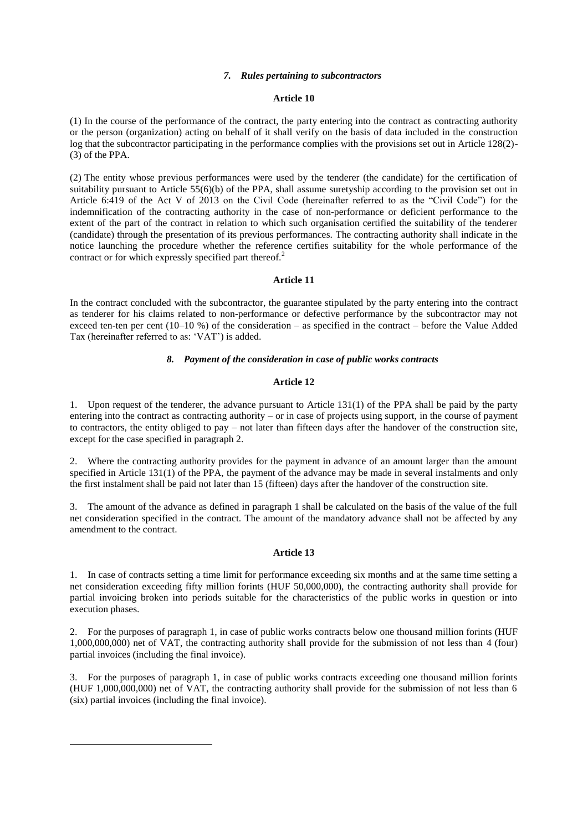#### *7. Rules pertaining to subcontractors*

#### **Article 10**

(1) In the course of the performance of the contract, the party entering into the contract as contracting authority or the person (organization) acting on behalf of it shall verify on the basis of data included in the construction log that the subcontractor participating in the performance complies with the provisions set out in Article 128(2)- (3) of the PPA.

(2) The entity whose previous performances were used by the tenderer (the candidate) for the certification of suitability pursuant to Article 55(6)(b) of the PPA, shall assume suretyship according to the provision set out in Article 6:419 of the Act V of 2013 on the Civil Code (hereinafter referred to as the "Civil Code") for the indemnification of the contracting authority in the case of non-performance or deficient performance to the extent of the part of the contract in relation to which such organisation certified the suitability of the tenderer (candidate) through the presentation of its previous performances. The contracting authority shall indicate in the notice launching the procedure whether the reference certifies suitability for the whole performance of the contract or for which expressly specified part thereof.<sup>2</sup>

#### **Article 11**

In the contract concluded with the subcontractor, the guarantee stipulated by the party entering into the contract as tenderer for his claims related to non-performance or defective performance by the subcontractor may not exceed ten-ten per cent (10–10 %) of the consideration – as specified in the contract – before the Value Added Tax (hereinafter referred to as: 'VAT') is added.

#### *8. Payment of the consideration in case of public works contracts*

### **Article 12**

1. Upon request of the tenderer, the advance pursuant to Article 131(1) of the PPA shall be paid by the party entering into the contract as contracting authority – or in case of projects using support, in the course of payment to contractors, the entity obliged to pay – not later than fifteen days after the handover of the construction site, except for the case specified in paragraph 2.

2. Where the contracting authority provides for the payment in advance of an amount larger than the amount specified in Article 131(1) of the PPA, the payment of the advance may be made in several instalments and only the first instalment shall be paid not later than 15 (fifteen) days after the handover of the construction site.

3. The amount of the advance as defined in paragraph 1 shall be calculated on the basis of the value of the full net consideration specified in the contract. The amount of the mandatory advance shall not be affected by any amendment to the contract.

#### **Article 13**

1. In case of contracts setting a time limit for performance exceeding six months and at the same time setting a net consideration exceeding fifty million forints (HUF 50,000,000), the contracting authority shall provide for partial invoicing broken into periods suitable for the characteristics of the public works in question or into execution phases.

2. For the purposes of paragraph 1, in case of public works contracts below one thousand million forints (HUF 1,000,000,000) net of VAT, the contracting authority shall provide for the submission of not less than 4 (four) partial invoices (including the final invoice).

3. For the purposes of paragraph 1, in case of public works contracts exceeding one thousand million forints (HUF 1,000,000,000) net of VAT, the contracting authority shall provide for the submission of not less than 6 (six) partial invoices (including the final invoice).

**.**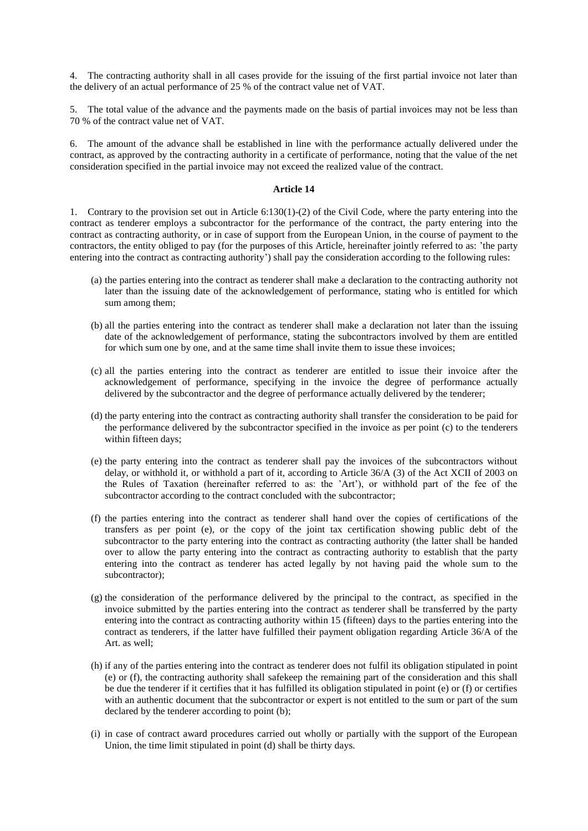4. The contracting authority shall in all cases provide for the issuing of the first partial invoice not later than the delivery of an actual performance of 25 % of the contract value net of VAT.

5. The total value of the advance and the payments made on the basis of partial invoices may not be less than 70 % of the contract value net of VAT.

6. The amount of the advance shall be established in line with the performance actually delivered under the contract, as approved by the contracting authority in a certificate of performance, noting that the value of the net consideration specified in the partial invoice may not exceed the realized value of the contract.

### **Article 14**

1. Contrary to the provision set out in Article 6:130(1)-(2) of the Civil Code, where the party entering into the contract as tenderer employs a subcontractor for the performance of the contract, the party entering into the contract as contracting authority, or in case of support from the European Union, in the course of payment to the contractors, the entity obliged to pay (for the purposes of this Article, hereinafter jointly referred to as: 'the party entering into the contract as contracting authority') shall pay the consideration according to the following rules:

- (a) the parties entering into the contract as tenderer shall make a declaration to the contracting authority not later than the issuing date of the acknowledgement of performance, stating who is entitled for which sum among them;
- (b) all the parties entering into the contract as tenderer shall make a declaration not later than the issuing date of the acknowledgement of performance, stating the subcontractors involved by them are entitled for which sum one by one, and at the same time shall invite them to issue these invoices;
- (c) all the parties entering into the contract as tenderer are entitled to issue their invoice after the acknowledgement of performance, specifying in the invoice the degree of performance actually delivered by the subcontractor and the degree of performance actually delivered by the tenderer;
- (d) the party entering into the contract as contracting authority shall transfer the consideration to be paid for the performance delivered by the subcontractor specified in the invoice as per point (c) to the tenderers within fifteen days:
- (e) the party entering into the contract as tenderer shall pay the invoices of the subcontractors without delay, or withhold it, or withhold a part of it, according to Article 36/A (3) of the Act XCII of 2003 on the Rules of Taxation (hereinafter referred to as: the 'Art'), or withhold part of the fee of the subcontractor according to the contract concluded with the subcontractor;
- (f) the parties entering into the contract as tenderer shall hand over the copies of certifications of the transfers as per point (e), or the copy of the joint tax certification showing public debt of the subcontractor to the party entering into the contract as contracting authority (the latter shall be handed over to allow the party entering into the contract as contracting authority to establish that the party entering into the contract as tenderer has acted legally by not having paid the whole sum to the subcontractor);
- (g) the consideration of the performance delivered by the principal to the contract, as specified in the invoice submitted by the parties entering into the contract as tenderer shall be transferred by the party entering into the contract as contracting authority within 15 (fifteen) days to the parties entering into the contract as tenderers, if the latter have fulfilled their payment obligation regarding Article 36/A of the Art. as well;
- (h) if any of the parties entering into the contract as tenderer does not fulfil its obligation stipulated in point (e) or (f), the contracting authority shall safekeep the remaining part of the consideration and this shall be due the tenderer if it certifies that it has fulfilled its obligation stipulated in point (e) or (f) or certifies with an authentic document that the subcontractor or expert is not entitled to the sum or part of the sum declared by the tenderer according to point (b);
- (i) in case of contract award procedures carried out wholly or partially with the support of the European Union, the time limit stipulated in point (d) shall be thirty days.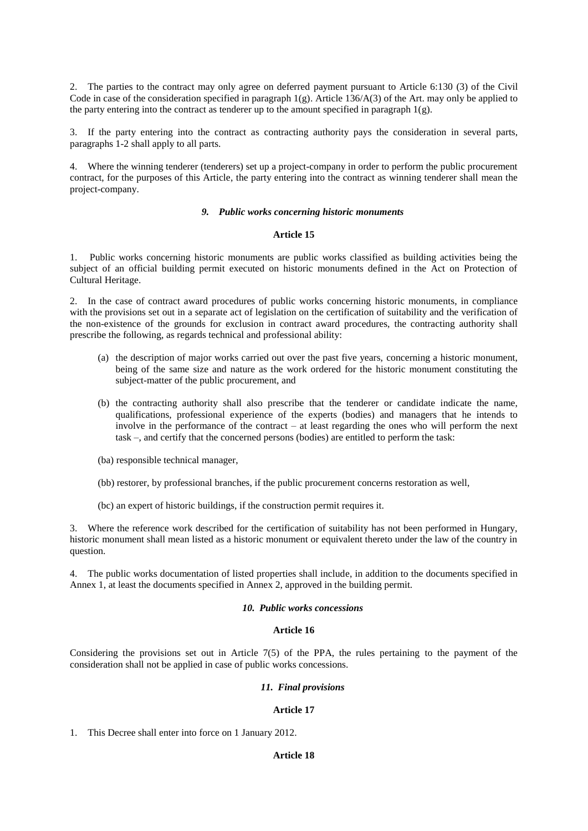2. The parties to the contract may only agree on deferred payment pursuant to Article 6:130 (3) of the Civil Code in case of the consideration specified in paragraph  $1(g)$ . Article 136/A(3) of the Art. may only be applied to the party entering into the contract as tenderer up to the amount specified in paragraph 1(g).

3. If the party entering into the contract as contracting authority pays the consideration in several parts, paragraphs 1-2 shall apply to all parts.

4. Where the winning tenderer (tenderers) set up a project-company in order to perform the public procurement contract, for the purposes of this Article, the party entering into the contract as winning tenderer shall mean the project-company.

### *9. Public works concerning historic monuments*

#### **Article 15**

1. Public works concerning historic monuments are public works classified as building activities being the subject of an official building permit executed on historic monuments defined in the Act on Protection of Cultural Heritage.

2. In the case of contract award procedures of public works concerning historic monuments, in compliance with the provisions set out in a separate act of legislation on the certification of suitability and the verification of the non-existence of the grounds for exclusion in contract award procedures, the contracting authority shall prescribe the following, as regards technical and professional ability:

- (a) the description of major works carried out over the past five years, concerning a historic monument, being of the same size and nature as the work ordered for the historic monument constituting the subject-matter of the public procurement, and
- (b) the contracting authority shall also prescribe that the tenderer or candidate indicate the name, qualifications, professional experience of the experts (bodies) and managers that he intends to involve in the performance of the contract – at least regarding the ones who will perform the next task –, and certify that the concerned persons (bodies) are entitled to perform the task:
- (ba) responsible technical manager,
- (bb) restorer, by professional branches, if the public procurement concerns restoration as well,
- (bc) an expert of historic buildings, if the construction permit requires it.

3. Where the reference work described for the certification of suitability has not been performed in Hungary, historic monument shall mean listed as a historic monument or equivalent thereto under the law of the country in question.

4. The public works documentation of listed properties shall include, in addition to the documents specified in Annex 1, at least the documents specified in Annex 2, approved in the building permit.

#### *10. Public works concessions*

### **Article 16**

Considering the provisions set out in Article 7(5) of the PPA, the rules pertaining to the payment of the consideration shall not be applied in case of public works concessions.

### *11. Final provisions*

### **Article 17**

1. This Decree shall enter into force on 1 January 2012.

# **Article 18**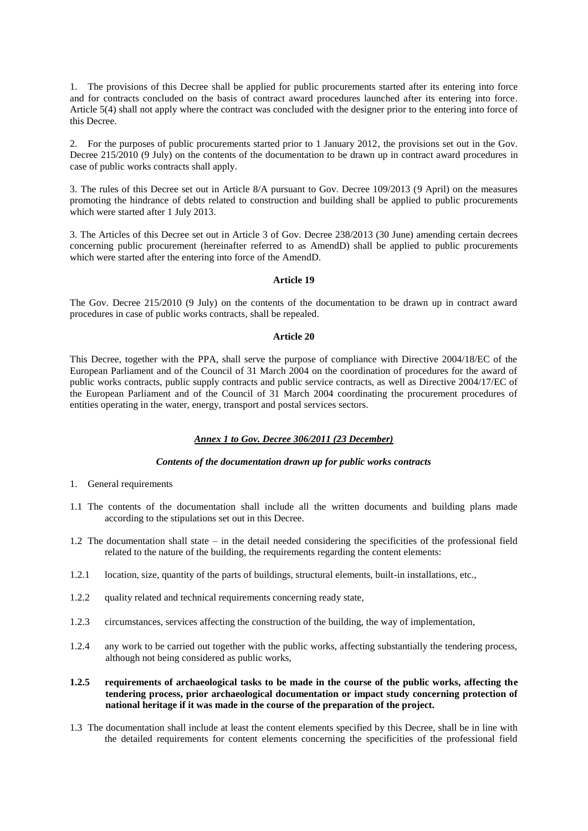1. The provisions of this Decree shall be applied for public procurements started after its entering into force and for contracts concluded on the basis of contract award procedures launched after its entering into force. Article 5(4) shall not apply where the contract was concluded with the designer prior to the entering into force of this Decree.

2. For the purposes of public procurements started prior to 1 January 2012, the provisions set out in the Gov. Decree 215/2010 (9 July) on the contents of the documentation to be drawn up in contract award procedures in case of public works contracts shall apply.

3. The rules of this Decree set out in Article 8/A pursuant to Gov. Decree 109/2013 (9 April) on the measures promoting the hindrance of debts related to construction and building shall be applied to public procurements which were started after 1 July 2013.

3. The Articles of this Decree set out in Article 3 of Gov. Decree 238/2013 (30 June) amending certain decrees concerning public procurement (hereinafter referred to as AmendD) shall be applied to public procurements which were started after the entering into force of the AmendD.

### **Article 19**

The Gov. Decree 215/2010 (9 July) on the contents of the documentation to be drawn up in contract award procedures in case of public works contracts, shall be repealed.

### **Article 20**

This Decree, together with the PPA, shall serve the purpose of compliance with Directive 2004/18/EC of the European Parliament and of the Council of 31 March 2004 on the coordination of procedures for the award of public works contracts, public supply contracts and public service contracts, as well as Directive 2004/17/EC of the European Parliament and of the Council of 31 March 2004 coordinating the procurement procedures of entities operating in the water, energy, transport and postal services sectors.

# *Annex 1 to Gov. Decree 306/2011 (23 December)*

# *Contents of the documentation drawn up for public works contracts*

- 1. General requirements
- 1.1 The contents of the documentation shall include all the written documents and building plans made according to the stipulations set out in this Decree.
- 1.2 The documentation shall state in the detail needed considering the specificities of the professional field related to the nature of the building, the requirements regarding the content elements:
- 1.2.1 location, size, quantity of the parts of buildings, structural elements, built-in installations, etc.,
- 1.2.2 quality related and technical requirements concerning ready state,
- 1.2.3 circumstances, services affecting the construction of the building, the way of implementation,
- 1.2.4 any work to be carried out together with the public works, affecting substantially the tendering process, although not being considered as public works,
- **1.2.5 requirements of archaeological tasks to be made in the course of the public works, affecting the tendering process, prior archaeological documentation or impact study concerning protection of national heritage if it was made in the course of the preparation of the project.**
- 1.3 The documentation shall include at least the content elements specified by this Decree, shall be in line with the detailed requirements for content elements concerning the specificities of the professional field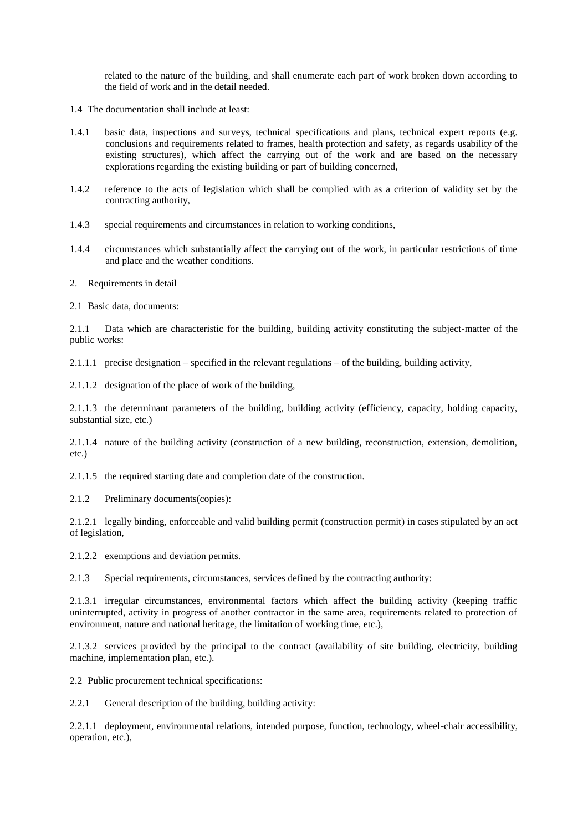related to the nature of the building, and shall enumerate each part of work broken down according to the field of work and in the detail needed.

- 1.4 The documentation shall include at least:
- 1.4.1 basic data, inspections and surveys, technical specifications and plans, technical expert reports (e.g. conclusions and requirements related to frames, health protection and safety, as regards usability of the existing structures), which affect the carrying out of the work and are based on the necessary explorations regarding the existing building or part of building concerned,
- 1.4.2 reference to the acts of legislation which shall be complied with as a criterion of validity set by the contracting authority,
- 1.4.3 special requirements and circumstances in relation to working conditions,
- 1.4.4 circumstances which substantially affect the carrying out of the work, in particular restrictions of time and place and the weather conditions.
- 2. Requirements in detail
- 2.1 Basic data, documents:

2.1.1 Data which are characteristic for the building, building activity constituting the subject-matter of the public works:

2.1.1.1 precise designation – specified in the relevant regulations – of the building, building activity,

2.1.1.2 designation of the place of work of the building,

2.1.1.3 the determinant parameters of the building, building activity (efficiency, capacity, holding capacity, substantial size, etc.)

2.1.1.4 nature of the building activity (construction of a new building, reconstruction, extension, demolition, etc.)

2.1.1.5 the required starting date and completion date of the construction.

2.1.2 Preliminary documents(copies):

2.1.2.1 legally binding, enforceable and valid building permit (construction permit) in cases stipulated by an act of legislation,

2.1.2.2 exemptions and deviation permits.

2.1.3 Special requirements, circumstances, services defined by the contracting authority:

2.1.3.1 irregular circumstances, environmental factors which affect the building activity (keeping traffic uninterrupted, activity in progress of another contractor in the same area, requirements related to protection of environment, nature and national heritage, the limitation of working time, etc.),

2.1.3.2 services provided by the principal to the contract (availability of site building, electricity, building machine, implementation plan, etc.).

2.2 Public procurement technical specifications:

2.2.1 General description of the building, building activity:

2.2.1.1 deployment, environmental relations, intended purpose, function, technology, wheel-chair accessibility, operation, etc.),